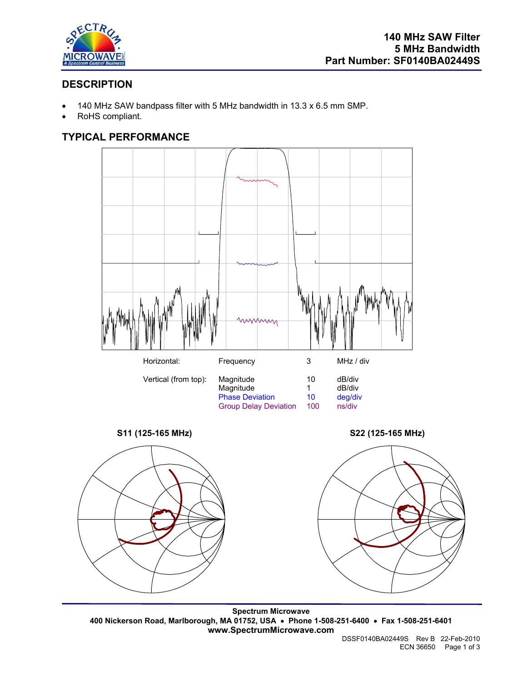

# **DESCRIPTION**

- 140 MHz SAW bandpass filter with 5 MHz bandwidth in 13.3 x 6.5 mm SMP.
- RoHS compliant.

# **TYPICAL PERFORMANCE**











**Spectrum Microwave 400 Nickerson Road, Marlborough, MA 01752, USA** • **Phone 1-508-251-6400** • **Fax 1-508-251-6401 www.SpectrumMicrowave.com**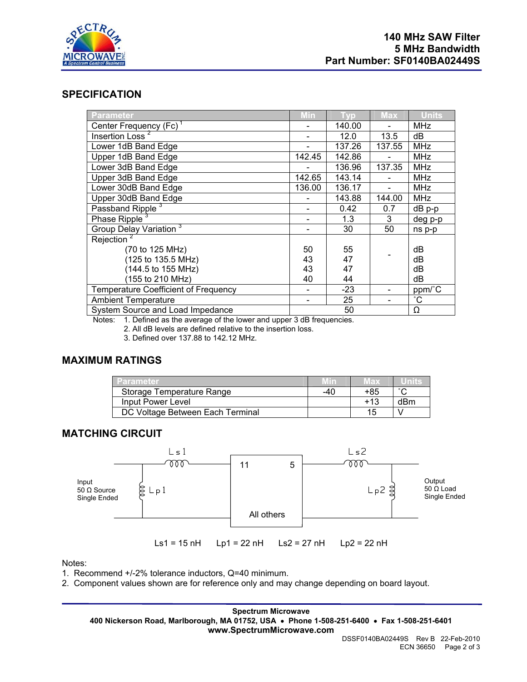

## **SPECIFICATION**

| <b>Parameter</b>                            | Min    | <b>Vp</b> | Max            | <b>Units</b> |
|---------------------------------------------|--------|-----------|----------------|--------------|
| Center Frequency (Fc) <sup>1</sup>          |        | 140.00    |                | <b>MHz</b>   |
| Insertion Loss <sup>2</sup>                 |        | 12.0      | 13.5           | dВ           |
| Lower 1dB Band Edge                         |        | 137.26    | 137.55         | <b>MHz</b>   |
| Upper 1dB Band Edge                         | 142.45 | 142.86    |                | <b>MHz</b>   |
| Lower 3dB Band Edge                         |        | 136.96    | 137.35         | <b>MHz</b>   |
| Upper 3dB Band Edge                         | 142.65 | 143.14    |                | <b>MHz</b>   |
| Lower 30dB Band Edge                        | 136.00 | 136.17    | $\blacksquare$ | <b>MHz</b>   |
| Upper 30dB Band Edge                        |        | 143.88    | 144.00         | <b>MHz</b>   |
| Passband Ripple <sup>3</sup>                |        | 0.42      | 0.7            | dB p-p       |
| Phase Ripple <sup>3</sup>                   |        | 1.3       | 3              | deg p-p      |
| Group Delay Variation <sup>3</sup>          |        | 30        | 50             | ns p-p       |
| Rejection <sup>2</sup>                      |        |           |                |              |
| (70 to 125 MHz)                             | 50     | 55        |                | dB           |
| (125 to 135.5 MHz)                          | 43     | 47        |                | dB           |
| (144.5 to 155 MHz)                          | 43     | 47        |                | dВ           |
| (155 to 210 MHz)                            | 40     | 44        |                | dB           |
| <b>Temperature Coefficient of Frequency</b> |        | $-23$     |                | ppm/°C       |
| <b>Ambient Temperature</b>                  |        | 25        |                | $^{\circ}$ C |
| System Source and Load Impedance            |        | 50        |                | Ω            |

Notes: 1. Defined as the average of the lower and upper 3 dB frequencies.

2. All dB levels are defined relative to the insertion loss.

3. Defined over 137.88 to 142.12 MHz.

### **MAXIMUM RATINGS**

| Parameter                        |     | Max | uma                   |
|----------------------------------|-----|-----|-----------------------|
| Storage Temperature Range        | -40 | +85 | $\tilde{\phantom{a}}$ |
| Input Power Level                |     | +13 | dBm                   |
| DC Voltage Between Each Terminal |     | 15  |                       |

### **MATCHING CIRCUIT**



Notes:

1. Recommend +/-2% tolerance inductors, Q=40 minimum.

2. Component values shown are for reference only and may change depending on board layout.

**Spectrum Microwave 400 Nickerson Road, Marlborough, MA 01752, USA** • **Phone 1-508-251-6400** • **Fax 1-508-251-6401 www.SpectrumMicrowave.com**